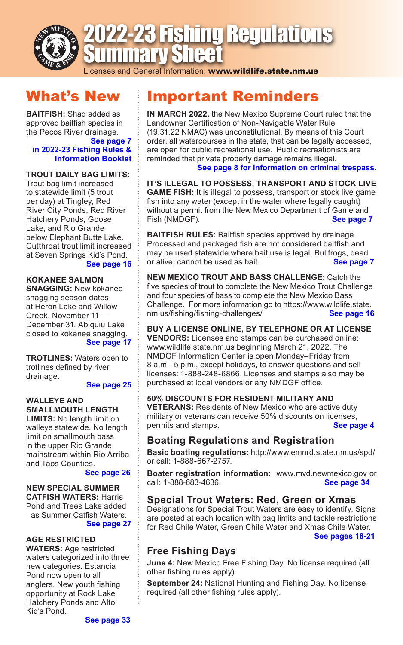

# 2022-23 Fishing Regulations Summary Sheet

Licenses and General Information: www.wildlife.state.nm.us

## What's New

**BAITFISH:** Shad added as approved baitfish species in the Pecos River drainage.

#### **See page 7 [in 2022-23 Fishing Rules &](https://www.wildlife.state.nm.us/download/publications/rib/2022/fishing/2022_2023-New-Mexico-Fishing-Rules-and-Info.pdf)  Information Booklet**

### **TROUT DAILY BAG LIMITS:**

Trout bag limit increased to statewide limit (5 trout per day) at Tingley, Red River City Ponds, Red River Hatchery Ponds, Goose Lake, and Rio Grande below Elephant Butte Lake. Cutthroat trout limit increased at Seven Springs Kid's Pond.

### **[See page 16](https://www.wildlife.state.nm.us/download/publications/rib/2022/fishing/2022_2023-New-Mexico-Fishing-Rules-and-Info.pdf)**

**KOKANEE SALMON SNAGGING:** New kokanee

snagging season dates at Heron Lake and Willow Creek, November 11 — December 31. Abiquiu Lake closed to kokanee snagging. **[See page 17](https://www.wildlife.state.nm.us/download/publications/rib/2022/fishing/2022_2023-New-Mexico-Fishing-Rules-and-Info.pdf)**

**TROTLINES:** Waters open to trotlines defined by river drainage.

### **[See page 25](https://www.wildlife.state.nm.us/download/publications/rib/2022/fishing/2022_2023-New-Mexico-Fishing-Rules-and-Info.pdf)**

### **WALLEYE AND SMALLMOUTH LENGTH**

**LIMITS:** No length limit on walleye statewide. No length limit on smallmouth bass in the upper Rio Grande mainstream within Rio Arriba and Taos Counties.

### **[See page 26](https://www.wildlife.state.nm.us/download/publications/rib/2022/fishing/2022_2023-New-Mexico-Fishing-Rules-and-Info.pdf)**

### **NEW SPECIAL SUMMER**

**CATFISH WATERS:** Harris Pond and Trees Lake added as Summer Catfish Waters.

### **[See page 27](https://www.wildlife.state.nm.us/download/publications/rib/2022/fishing/2022_2023-New-Mexico-Fishing-Rules-and-Info.pdf)**

### **AGE RESTRICTED**

**WATERS:** Age restricted waters categorized into three new categories. Estancia Pond now open to all anglers. New youth fishing opportunity at Rock Lake Hatchery Ponds and Alto Kid's Pond.

## Important Reminders

**IN MARCH 2022,** the New Mexico Supreme Court ruled that the Landowner Certification of Non-Navigable Water Rule (19.31.22 NMAC) was unconstitutional. By means of this Court order, all watercourses in the state, that can be legally accessed, are open for public recreational use. Public recreationists are reminded that private property damage remains illegal. **[See page 8 for information on criminal trespass.](https://www.wildlife.state.nm.us/download/publications/rib/2022/fishing/2022_2023-New-Mexico-Fishing-Rules-and-Info.pdf)**

**IT'S ILLEGAL TO POSSESS, TRANSPORT AND STOCK LIVE GAME FISH:** It is illegal to possess, transport or stock live game fish into any water (except in the water where legally caught) without a permit from the New Mexico Department of Game and<br>Fish (NMDGF).<br>**See page 7** Fish (NMDGF).

**BAITFISH RULES:** Baitfish species approved by drainage. Processed and packaged fish are not considered baitfish and may be used statewide where bait use is legal. Bullfrogs, dead or alive, cannot be used as bait. **[See page 7](https://www.wildlife.state.nm.us/download/publications/rib/2022/fishing/2022_2023-New-Mexico-Fishing-Rules-and-Info.pdf)**

**NEW MEXICO TROUT AND BASS CHALLENGE:** Catch the five species of trout to complete the New Mexico Trout Challenge and four species of bass to complete the New Mexico Bass Challenge. For more information go to https://www.wildlife.state.<br>nm.us/fishing/fishing-challenges/<br>See page 16  $nm.us/fishing/fishing-challenges/$ 

**BUY A LICENSE ONLINE, BY TELEPHONE OR AT LICENSE VENDORS:** Licenses and stamps can be purchased online: www.wildlife.state.nm.us beginning March 21, 2022. The NMDGF Information Center is open Monday–Friday from 8 a.m.–5 p.m., except holidays, to answer questions and sell licenses: 1-888-248-6866. Licenses and stamps also may be purchased at local vendors or any NMDGF office.

### **50% DISCOUNTS FOR RESIDENT MILITARY AND**

**VETERANS:** Residents of New Mexico who are active duty military or veterans can receive 50% discounts on licenses, permits and stamps. **[See page 4](https://www.wildlife.state.nm.us/download/publications/rib/2022/fishing/2022_2023-New-Mexico-Fishing-Rules-and-Info.pdf)**

### **Boating Regulations and Registration**

**Basic boating regulations:** http://www.emnrd.state.nm.us/spd/ or call: 1-888-667-2757.

**Boater registration information:** www.mvd.newmexico.gov or call: 1-888-683-4636. call: 1-888-683-4636.

### **Special Trout Waters: Red, Green or Xmas**

Designations for Special Trout Waters are easy to identify. Signs are posted at each location with bag limits and tackle restrictions for Red Chile Water, Green Chile Water and Xmas Chile Water. **[See pages 18-21](https://www.wildlife.state.nm.us/download/publications/rib/2022/fishing/2022_2023-New-Mexico-Fishing-Rules-and-Info.pdf)**

### **Free Fishing Days**

**June 4:** New Mexico Free Fishing Day. No license required (all other fishing rules apply).

**September 24:** National Hunting and Fishing Day. No license required (all other fishing rules apply).